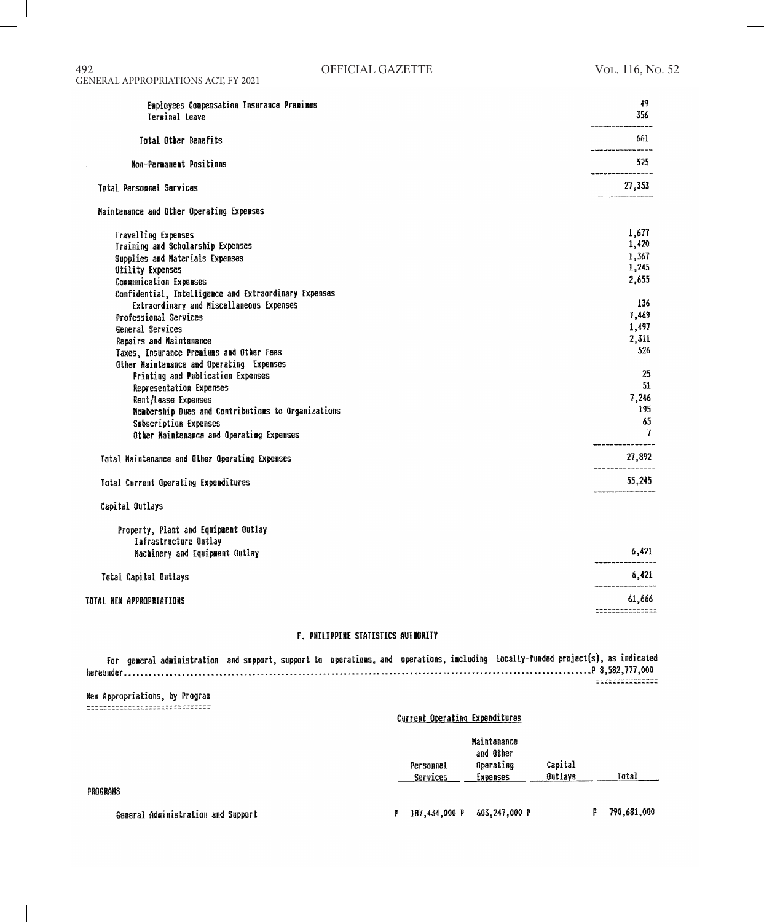#### **F. PHILIPPINE STATISTICS AUTHORITY**

For general administration and support, support to operations, and operations, including locally-funded project(s), as indicated -----------------------------

**New Appropriations, by Program** -------------------------------

#### Current Operating Expenditures

|           | Maintenance |         |       |
|-----------|-------------|---------|-------|
|           | and Other   |         |       |
| Personnel | Operating   | Capital |       |
| Services  | Expenses    | Outlavs | Total |

PROGRAMS

General Administration and Support

P 187,434,000 P 603,247,000 P P 790,681,000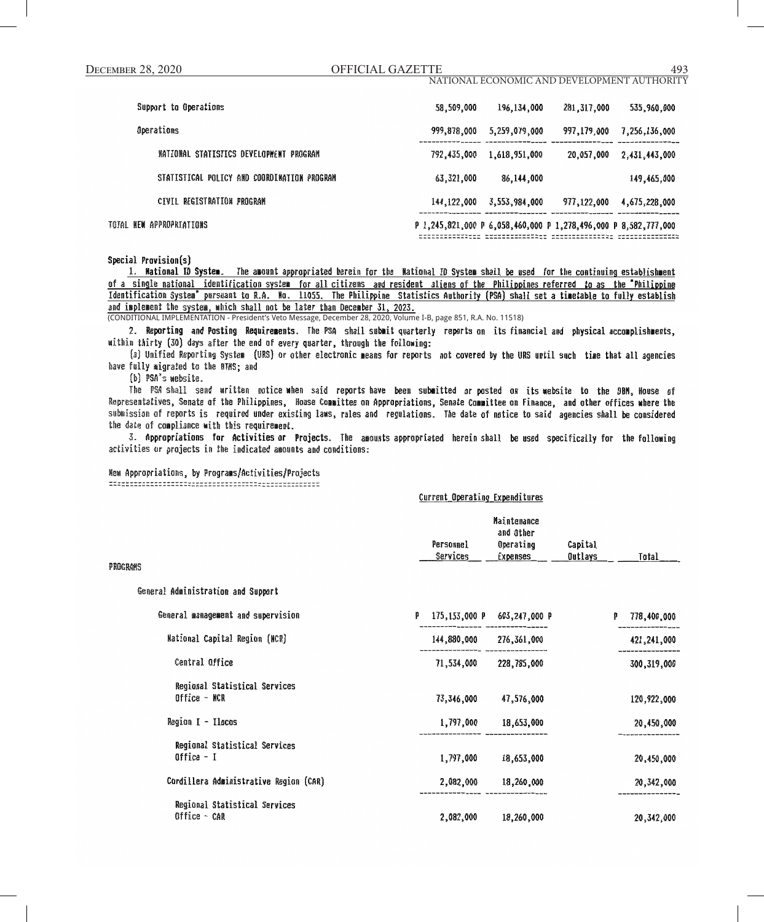| <b>DECEMBER 28, 2020</b>                    | <b>OFFICIAL GAZETTE</b> |                                             |               | 493              |  |
|---------------------------------------------|-------------------------|---------------------------------------------|---------------|------------------|--|
|                                             |                         | NATIONAL ECONOMIC AND DEVELOPMENT AUTHORITY |               |                  |  |
| Support to Operations                       | 58,509,000              | 196, 134, 000                               | 281,317,000   | 535,960,000      |  |
| Operations                                  | 999,878,000             | 5,259,079,000                               | 997,179,000   | 7, 256, 136, 000 |  |
| NATIONAL STATISTICS DEVELOPMENT PROGRAM     | 792,435,000             | 1,618,951,000                               | 20,057,000    | 2,431,443,000    |  |
| STATISTICAL POLICY AND COORDINATION PROGRAM | 63,321,000              | 86, 144, 000                                |               | 149,465,000      |  |
| CIVIL REGISTRATION PROGRAM                  | 144, 122, 000           | 3,553,984,000                               | 977, 122, 000 | 4,675,228,000    |  |

TOTAL NEW APPROPRIATIONS

P 1,245,821,000 P 6,058,460,000 P 1,278,496,000 P 8,582,777,000 

Special Provision(s)

1. Mational ID System. The amount appropriated herein for the Mational ID System shall be used for the continuing establishment of a single national identification system for all citizens and resident aliens of the Philippines referred to as the Philippine Identification System" pursuant to R.A. No. 11055. The Philippine Statistics Authority (PSA) shall set a timetable to fully establish and implement the system, which shall not be later than December 31, 2023.

(CONDITIONAL IMPLEMENTATION - President's Veto Message, December 28, 2020, Volume I-B, page 851, R.A. No. 11518)

2. Reporting and Posting Requirements. The PSA shall submit quarterly reports on its financial and physical accomplishments, within thirty (30) days after the end of every quarter, through the following:

(a) Unified Reporting System (URS) or other electronic means for reports not covered by the URS until such time that all agencies have fully migrated to the BTMS; and

(b) PSA's website.

The PSA-shall send written notice when said reports-have been submitted or-posted on its-website to the DBM, House of Representatives, Senate of the Philippines, House Committee on Appropriations, Senate Committee on Finance, and other offices where the submission of reports is required under existing laws, rules and regulations. The date of notice to said agencies shall be considered the date of compliance with this requirement.

3. Appropriations for Activities or Projects. The amounts appropriated herein shall be used specifically for the following activities or projects in the indicated amounts and conditions:

### New Appropriations, by Programs/Activities/Projects

### Current Operating Expenditures

|          |           | Maintenance |         |       |
|----------|-----------|-------------|---------|-------|
|          |           | and Other   |         |       |
|          | Personnel | Operating   | Capital |       |
|          | Services  | Expenses    | Outlays | Total |
| PROGRAMS |           |             |         |       |

General Administration and Support

| General management and supervision            | p | 175,153,000 P | 603.247.000 P | p | 778,400,000   |
|-----------------------------------------------|---|---------------|---------------|---|---------------|
| National Capital Region (NCR)                 |   | 144,880,000   | 276,361,000   |   | 421,241,000   |
| Central Office                                |   | 71,534,000    | 228,785,000   |   | 300, 319, 000 |
| Regional Statistical Services<br>Office - NCR |   | 73,346,000    | 47,576,000    |   | 120,922,000   |
| Region I - Ilocos                             |   | 1,797,000     | 18,653,000    |   | 20,450,000    |
| Regional Statistical Services<br>Office $-1$  |   | 1,797,000     | 18,653,000    |   | 20,450,000    |
| Cordillera Administrative Region (CAR)        |   | 2,082,000     | 18,260,000    |   | 20,342,000    |
| Regional Statistical Services<br>Office - CAR |   | 2,082,000     | 18,260,000    |   | 20,342,000    |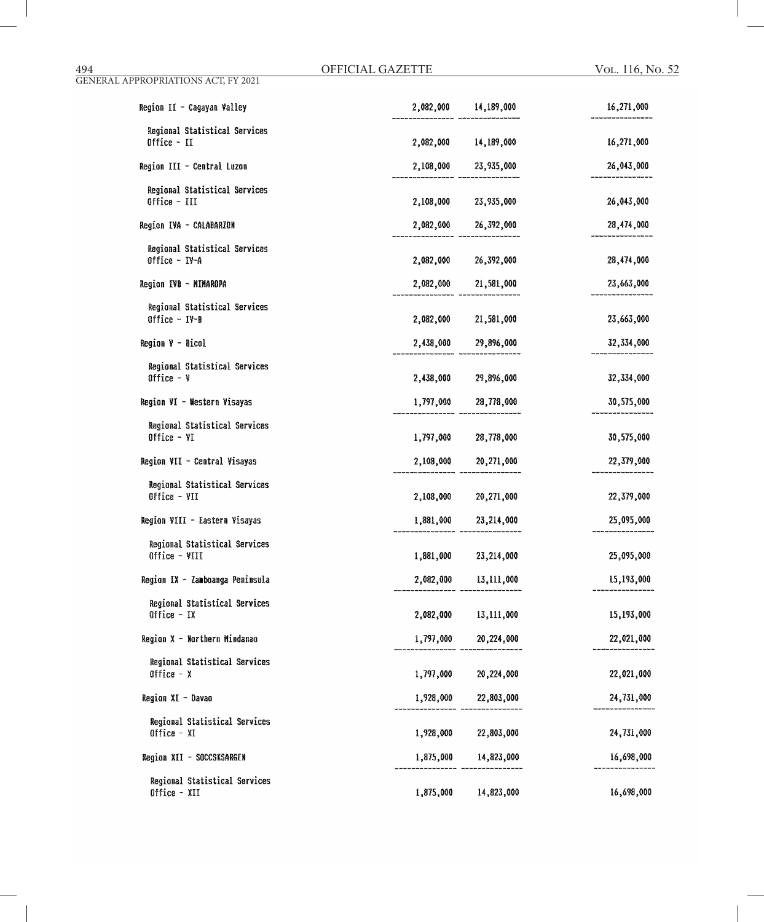| Region II - Cagayan Valley                      |           | 2,082,000 14,189,000 | 16,271,000 |
|-------------------------------------------------|-----------|----------------------|------------|
| Regional Statistical Services<br>Office - II    | 2,082,000 | 14,189,000           | 16,271,000 |
| Region III - Central Luzon                      |           | 2,108,000 23,935,000 | 26,043,000 |
| Regional Statistical Services<br>Office - III   |           | 2,108,000 23,935,000 | 26,043,000 |
| Region IVA - CALABARZON                         |           | 2,082,000 26,392,000 | 28,474,000 |
| Regional Statistical Services<br>Office - IV-A  |           | 2,082,000 26,392,000 | 28,474,000 |
| Region IVB - MIMAROPA                           |           | 2,082,000 21,581,000 | 23,663,000 |
| Regional Statistical Services<br>Office $ IV-B$ |           | 2,082,000 21,581,000 | 23,663,000 |
| Region V - Bicol                                | 2,438,000 | 29,896,000           | 32,334,000 |
| Regional Statistical Services<br>Office $ \nu$  |           | 2,438,000 29,896,000 | 32,334,000 |
| Region VI - Western Visayas                     |           | 1,797,000 28,778,000 | 30,575,000 |
| Regional Statistical Services<br>Office $-VI$   |           | 1,797,000 28,778,000 | 30,575,000 |
| Region VII - Central Visayas                    | 2,108,000 | 20,271,000           | 22,379,000 |
| Regional Statistical Services<br>Office - VII   |           | 2,108,000 20,271,000 | 22,379,000 |
| Region VIII - Eastern Visayas                   |           | 1,881,000 23,214,000 | 25,095,000 |
| Regional Statistical Services<br>Office - VIII  |           | 1,881,000 23,214,000 | 25,095,000 |
| Region IX - Zamboanga Peninsula                 |           | 2,082,000 13,111,000 | 15,193,000 |
| Regional Statistical Services<br>Office - IX    |           | 2,082,000 13,111,000 | 15,193,000 |
| Region X - Northern Mindanao                    |           | 1,797,000 20,224,000 | 22,021,000 |
| Regional Statistical Services<br>Office $- x$   |           | 1,797,000 20,224,000 | 22,021,000 |
| Region XI - Davao                               |           | 1,928,000 22,803,000 | 24,731,000 |
| Regional Statistical Services<br>Office - XI    |           | 1,928,000 22,803,000 | 24,731,000 |
| Region XII - SOCCSKSARGEN                       |           | 1,875,000 14,823,000 | 16,698,000 |
| Regional Statistical Services<br>Office - XII   | 1,875,000 | 14,823,000           | 16,698,000 |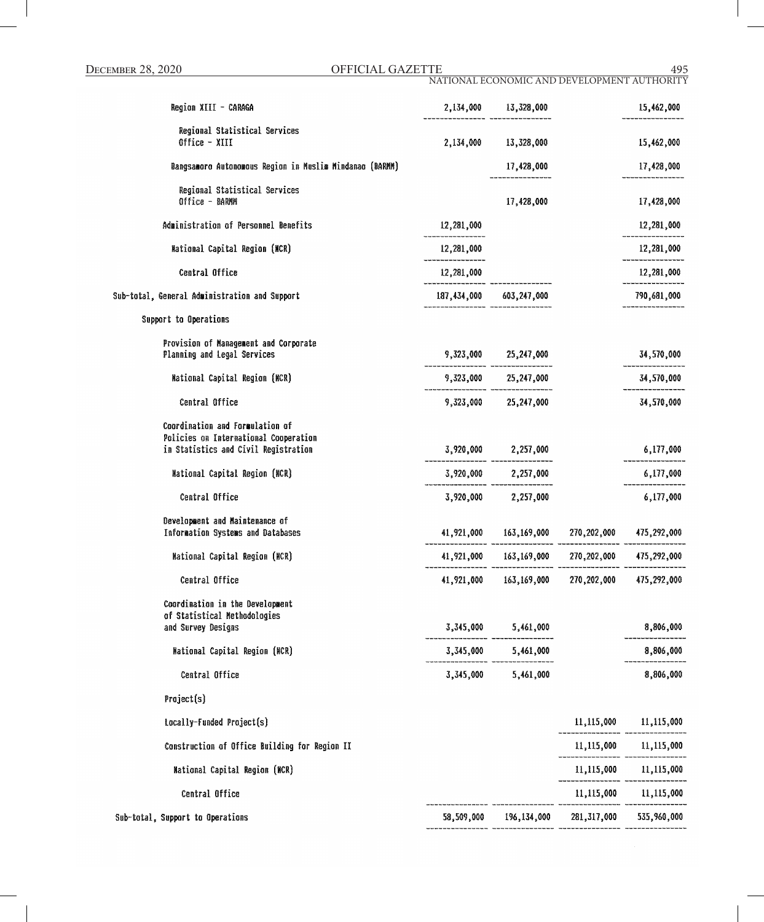DECEMBER 28, 2020 OFFICIAL GAZETTE 495 NATIONAL ECONOMIC AND DEVELOPMENT AUTHORITY

| Region XIII - CARAGA                                                                                             |                                | 2,134,000 13,328,000                           | 15,462,000            |
|------------------------------------------------------------------------------------------------------------------|--------------------------------|------------------------------------------------|-----------------------|
| Regional Statistical Services<br>Office - XIII                                                                   |                                | 2,134,000 13,328,000                           | 15,462,000            |
| Bangsamoro Autonomous Region in Muslim Mindanao (BARMM)                                                          |                                | 17,428,000                                     | 17,428,000            |
| Regional Statistical Services<br>Office - BARMM                                                                  |                                | 17,428,000                                     | 17,428,000            |
| Administration of Personnel Benefits                                                                             | 12,281,000                     |                                                | 12,281,000            |
| National Capital Region (NCR)                                                                                    | 12,281,000<br>________________ |                                                | 12,281,000            |
| Central Office                                                                                                   | 12,281,000                     |                                                | 12,281,000            |
| Sub-total, General Administration and Support                                                                    | --------- -----                | 187,434,000 603,247,000                        | 790,681,000           |
| Support to Operations                                                                                            |                                |                                                |                       |
| Provision of Management and Corporate<br>Planning and Legal Services                                             |                                | $9,323,000$ $25,247,000$                       | 34,570,000            |
| National Capital Region (NCR)                                                                                    |                                | $9,323,000$ $25,247,000$                       | 34,570,000            |
| Central Office                                                                                                   |                                | 9,323,000 25,247,000                           | 34,570,000            |
| Coordination and Formulation of<br>Policies on International Cooperation<br>in Statistics and Civil Registration |                                | $3,920,000$ $2,257,000$                        | 6,177,000             |
| <b>Mational Capital Region (NCR)</b>                                                                             |                                | $3,920,000$ 2,257,000                          | 6,177,000             |
| Central Office                                                                                                   |                                | 3,920,000 2,257,000                            | 6,177,000             |
| Development and Maintenance of<br>Information Systems and Databases                                              |                                |                                                |                       |
| National Capital Region (NCR)                                                                                    |                                | 41,921,000 163,169,000 270,202,000 475,292,000 |                       |
| Central Office                                                                                                   |                                | 41,921,000 163,169,000 270,202,000 475,292,000 |                       |
| Coordination in the Development<br>of Statistical Methodologies<br>and Survey Designs                            |                                | 3,345,000 5,461,000                            | 8,806,000             |
| <b>Mational Capital Region (MCR)</b>                                                                             |                                | 3,345,000 5,461,000                            | 8,806,000             |
| Central Office                                                                                                   |                                | 3,345,000 5,461,000                            | 8,806,000             |
| Project(s)                                                                                                       |                                |                                                |                       |
| Locally-Funded Project(s)                                                                                        |                                |                                                | 11,115,000 11,115,000 |
| Construction of Office Building for Region II                                                                    |                                |                                                | 11,115,000 11,115,000 |
| National Capital Region (NCR)                                                                                    |                                |                                                | 11,115,000 11,115,000 |
| Central Office                                                                                                   |                                |                                                | 11,115,000 11,115,000 |
| Sub-total, Support to Operations                                                                                 |                                | 58,509,000 196,134,000 281,317,000 535,960,000 |                       |
|                                                                                                                  |                                |                                                |                       |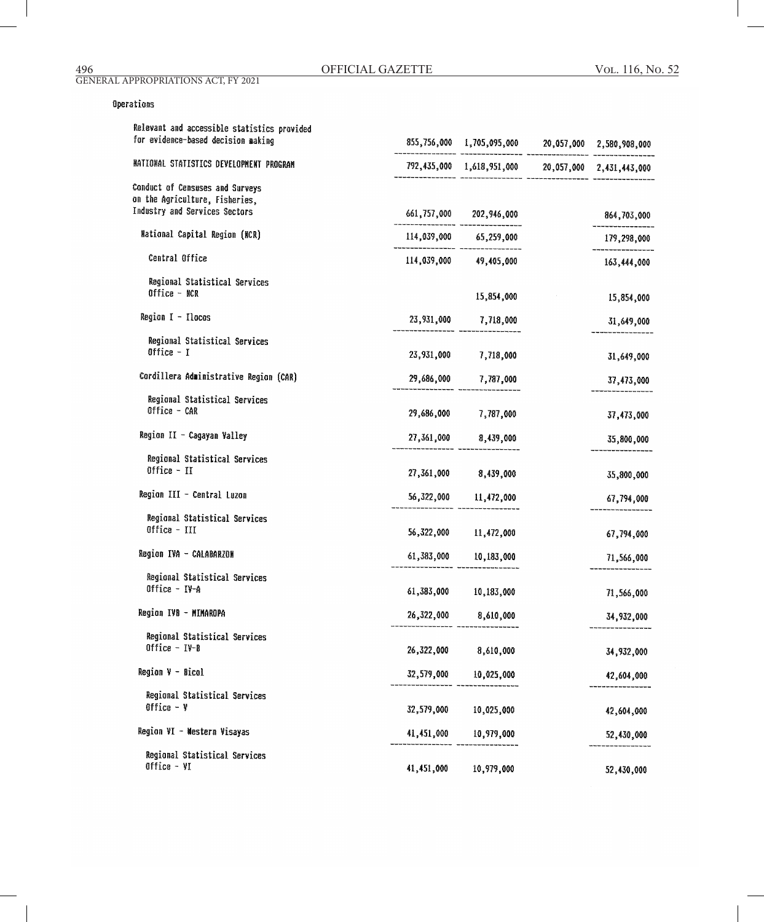# Operations

| Relevant and accessible statistics provided<br>for evidence-based decision making                  |            | 855,756,000 1,705,095,000 20,057,000 2,580,908,000 |             |
|----------------------------------------------------------------------------------------------------|------------|----------------------------------------------------|-------------|
| NATIONAL STATISTICS DEVELOPMENT PROGRAM                                                            |            | 792,435,000 1,618,951,000 20,057,000 2,431,443,000 |             |
| Conduct of Censuses and Surveys<br>on the Agriculture, Fisheries,<br>Industry and Services Sectors |            | 661,757,000 202,946,000                            | 864,703,000 |
| National Capital Region (NCR)                                                                      |            | 114,039,000 65,259,000                             | 179,298,000 |
| Central Office                                                                                     |            | 114,039,000 49,405,000                             | 163,444,000 |
| Regional Statistical Services<br>Office - NCR                                                      |            | 15,854,000                                         | 15,854,000  |
| Region I - Ilocos                                                                                  |            | 23,931,000 7,718,000                               | 31,649,000  |
| Regional Statistical Services<br>Office $-1$                                                       | 23,931,000 | 7,718,000                                          | 31,649,000  |
| Cordillera Administrative Region (CAR)                                                             |            | 29,686,000 7,787,000                               | 37,473,000  |
| Regional Statistical Services<br>Office - CAR                                                      |            | 29,686,000 7,787,000                               | 37,473,000  |
| Region II - Cagayan Valley                                                                         | 27,361,000 | 8,439,000                                          | 35,800,000  |
| Regional Statistical Services<br>Office $-$ II                                                     | 27,361,000 | 8,439,000                                          | 35,800,000  |
| Region III - Central Luzon                                                                         |            | 56,322,000 11,472,000                              | 67,794,000  |
| Regional Statistical Services<br>Office - III                                                      |            | 56,322,000 11,472,000                              | 67,794,000  |
| Region IVA - CALABARZON                                                                            |            | 61,383,000 10,183,000                              | 71,566,000  |
| Regional Statistical Services<br>Office - IV-A                                                     | 61,383,000 | 10,183,000                                         | 71,566,000  |
| Region IVB - MIMAROPA                                                                              | 26,322,000 | 8,610,000                                          | 34,932,000  |
| Regional Statistical Services<br>Office $-$ IV-B                                                   | 26,322,000 | 8,610,000                                          | 34,932,000  |
| Region V - Bicol                                                                                   | 32,579,000 | 10,025,000                                         | 42,604,000  |
| Regional Statistical Services<br>Office $-$ Y                                                      | 32,579,000 | 10,025,000                                         | 42,604,000  |
| Region VI - Mestern Visayas                                                                        | 41,451,000 | 10,979,000                                         | 52,430,000  |
| Regional Statistical Services<br>Office - VI                                                       | 41,451,000 | 10,979,000                                         | 52,430,000  |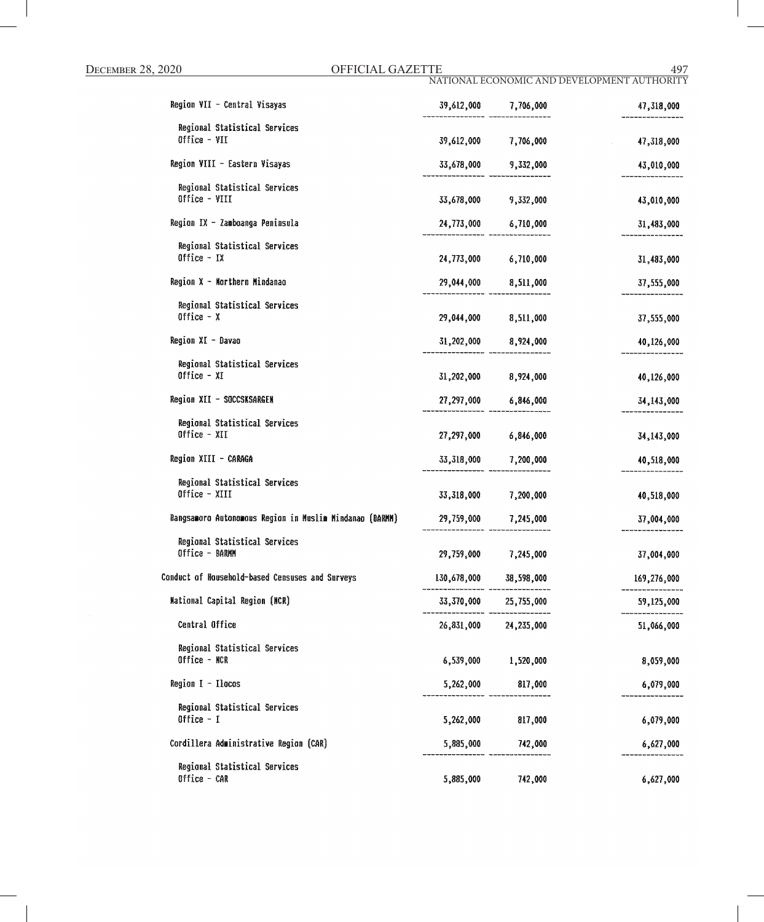|                                                         |            |                        | NATIONAL ECONOMIC AND DEVELOPMENT AUTHORITY |
|---------------------------------------------------------|------------|------------------------|---------------------------------------------|
| Region VII - Central Visayas                            |            | 39,612,000 7,706,000   | 47,318,000                                  |
| Regional Statistical Services<br>Office - VII           | 39,612,000 | 7,706,000              | 47,318,000<br>$\mathcal{L}^{\text{max}}$    |
| Region VIII - Eastern Visayas                           |            | 33,678,000 9,332,000   | 43,010,000                                  |
| Regional Statistical Services                           |            |                        |                                             |
| Office - VIII                                           |            | 33,678,000 9,332,000   | 43,010,000                                  |
| Region IX - Zamboanga Peninsula                         |            | 24,773,000 6,710,000   | 31,483,000                                  |
| Regional Statistical Services<br>$0$ ffice - IX         |            | 24,773,000 6,710,000   | 31,483,000                                  |
| Region X - Morthern Mindanao                            |            | 29,044,000 8,511,000   | 37,555,000                                  |
| Regional Statistical Services<br>Office $- x$           |            | 29,044,000 8,511,000   | 37,555,000                                  |
| Region XI - Davao                                       |            | 31,202,000 8,924,000   | 40,126,000                                  |
| Regional Statistical Services<br>$0$ ffice - XI         |            | 31,202,000 8,924,000   | 40,126,000                                  |
| Region XII - SOCCSKSARGEN                               |            | 27,297,000 6,846,000   | 34,143,000                                  |
| Regional Statistical Services<br>Office - XII           |            | 27,297,000 6,846,000   | 34,143,000                                  |
| Region XIII - CARAGA                                    |            | 33,318,000 7,200,000   | 40,518,000                                  |
| Regional Statistical Services<br>Office - XIII          |            | 33,318,000 7,200,000   | 40,518,000                                  |
| Bangsamoro Autonomous Region in Muslim Mindanao (BARMM) |            | 29,759,000 7,245,000   | 37,004,000                                  |
| Regional Statistical Services<br>Office - BARMM         |            | 29,759,000 7,245,000   | 37,004,000                                  |
| Conduct of Household-based Censuses and Surveys         |            | 130,678,000 38,598,000 | 169,276,000                                 |
| <b>Mational Capital Region (MCR)</b>                    |            | 33,370,000 25,755,000  | 59,125,000                                  |
| Central Office                                          |            | 26,831,000 24,235,000  | 51,066,000                                  |
| Regional Statistical Services<br>Office - NCR           |            | 6,539,000 1,520,000    | 8,059,000                                   |
| Region I - Ilocos                                       |            | 5,262,000 817,000      | 6,079,000                                   |
| Regional Statistical Services<br>Office $-1$            | 5,262,000  | 817,000                | 6,079,000                                   |
| Cordillera Administrative Region (CAR)                  |            | 5,885,000 742,000      | 6,627,000                                   |
| Regional Statistical Services<br>Office - CAR           | 5,885,000  | 742,000                | 6,627,000                                   |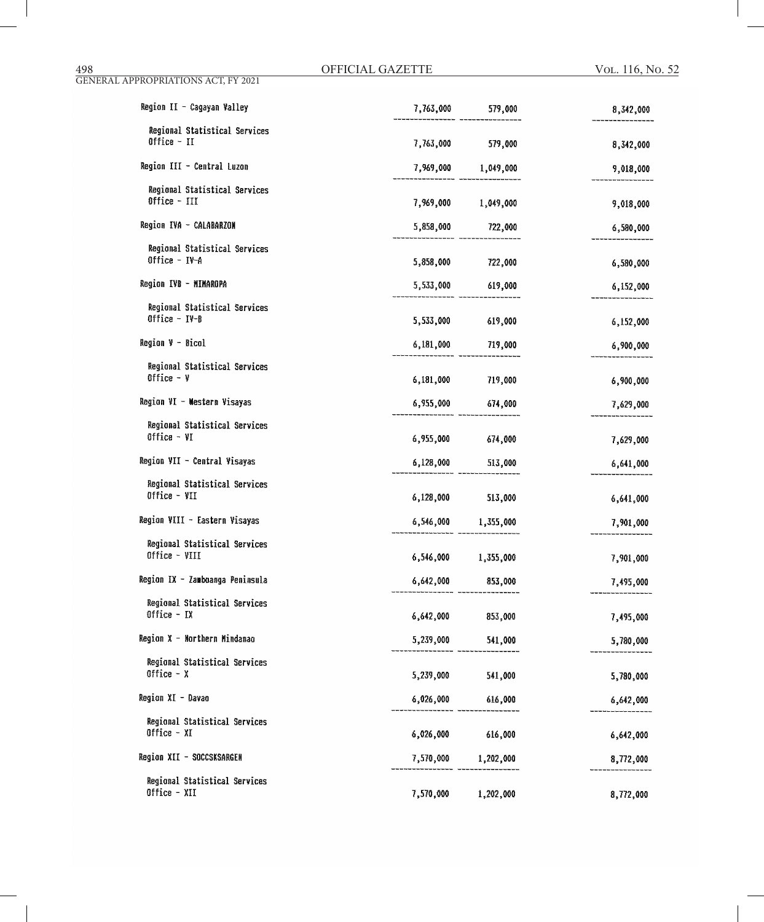| Region II - Cagayan Valley                       |                     | $7,763,000$ 579,000   | 8,342,000 |
|--------------------------------------------------|---------------------|-----------------------|-----------|
| Regional Statistical Services<br>Office $-$ II   |                     | 7,763,000 579,000     | 8,342,000 |
| Region III - Central Luzon                       |                     | 7,969,000 1,049,000   | 9,018,000 |
| Regional Statistical Services<br>Office - III    |                     | 7,969,000 1,049,000   | 9,018,000 |
| Region IVA - CALABARZON                          |                     | $5,858,000$ $722,000$ | 6,580,000 |
| Regional Statistical Services<br>Office $-$ IV-A |                     | 5,858,000 722,000     | 6,580,000 |
| Region IVB - MIMAROPA                            |                     | 5,533,000 619,000     | 6,152,000 |
| Regional Statistical Services<br>Office $-$ IV-B |                     | 5,533,000 619,000     | 6,152,000 |
| Region V - Bicol                                 |                     | 6,181,000 719,000     | 6,900,000 |
| Regional Statistical Services<br>Office $ y$     |                     | 6,181,000 719,000     | 6,900,000 |
| Region VI - Mestern Visayas                      |                     | 6,955,000 674,000     | 7,629,000 |
| Regional Statistical Services<br>Office $-$ VI   | 6,955,000 674,000   |                       | 7,629,000 |
| Region VII - Central Visayas                     |                     | $6,128,000$ 513,000   | 6,641,000 |
| Regional Statistical Services<br>Office - VII    | 6,128,000 513,000   |                       | 6,641,000 |
| Region VIII - Eastern Visayas                    |                     | 6,546,000 1,355,000   | 7,901,000 |
| Regional Statistical Services<br>Office - VIII   | 6,546,000 1,355,000 |                       | 7,901,000 |
| Region IX - Zamboanga Peninsula                  | 6,642,000 853,000   |                       | 7,495,000 |
| Regional Statistical Services<br>Office $-$ IX   | 6,642,000           | 853,000               | 7,495,000 |
| Region X - Northern Mindanao                     | 5,239,000           | 541,000               | 5,780,000 |
| Regional Statistical Services<br>Office $- x$    | 5,239,000           | 541,000               | 5,780,000 |
| Region XI - Davao                                | 6,026,000 616,000   |                       | 6,642,000 |
| Regional Statistical Services<br>Office $- XI$   | 6,026,000 616,000   |                       | 6,642,000 |
| Region XII - SOCCSKSARGEN                        |                     | 7,570,000 1,202,000   | 8,772,000 |
| Regional Statistical Services<br>Office - XII    | 7,570,000           | 1,202,000             | 8,772,000 |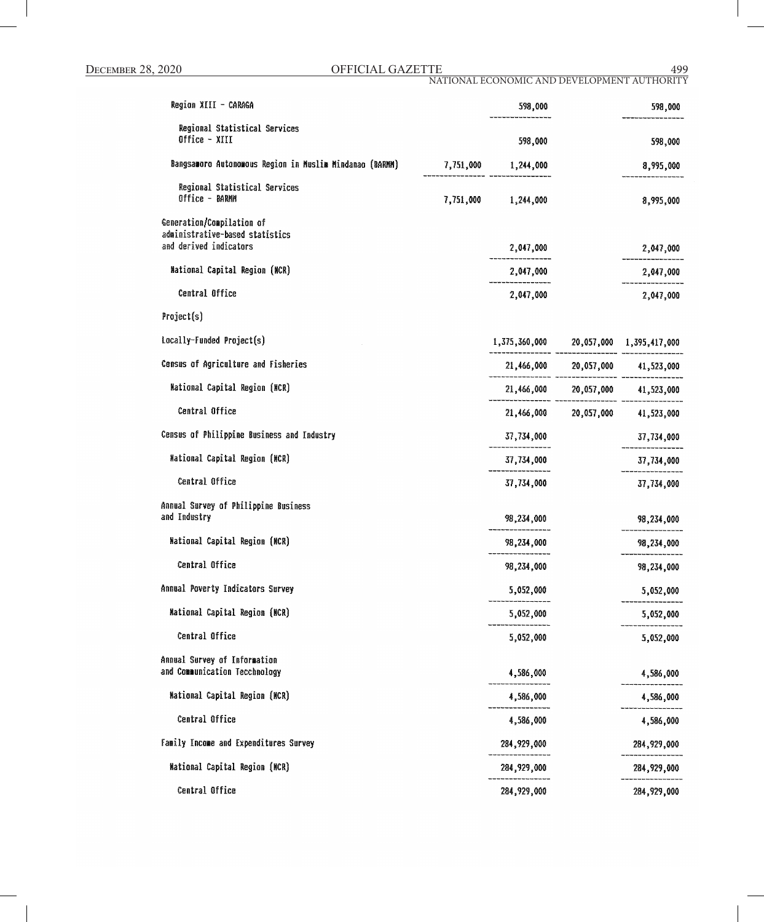Central Office

# DECEMBER 28, 2020 OFFICIAL GAZETTE 499

NATIONAL ECONOMIC AND DEVELOPMENT AUTHORITY

| Region XIII - CARAGA                                                                   | 598,000                                |                                        | 598,000     |
|----------------------------------------------------------------------------------------|----------------------------------------|----------------------------------------|-------------|
| Regional Statistical Services<br>Office - XIII                                         | 598,000                                |                                        | 598,000     |
| Bangsamoro Autonomous Region in Muslim Mindanao (BARMM)                                | 7,751,000 1,244,000                    |                                        | 8,995,000   |
| Regional Statistical Services<br>Office - BARMM                                        | 7,751,000 1,244,000                    |                                        | 8,995,000   |
| Generation/Compilation of<br>administrative-based statistics<br>and derived indicators | 2,047,000                              |                                        | 2,047,000   |
| National Capital Region (MCR)                                                          | 2,047,000                              |                                        | 2,047,000   |
| Central Office                                                                         | 2,047,000                              |                                        | 2,047,000   |
| Project(s)                                                                             |                                        |                                        |             |
| Locally-Funded Project(s)                                                              | 1,375,360,000 20,057,000 1,395,417,000 |                                        |             |
| Census of Agriculture and Fisheries                                                    |                                        | $21,466,000$ $20,057,000$ $41,523,000$ |             |
| National Capital Region (NCR)                                                          |                                        | $21,466,000$ $20,057,000$ $41,523,000$ |             |
| Central Office                                                                         |                                        | 21,466,000 20,057,000 41,523,000       |             |
| Census of Philippine Business and Industry                                             | 37,734,000                             |                                        | 37,734,000  |
| National Capital Region (NCR)                                                          | 37,734,000                             |                                        | 37,734,000  |
| Central Office                                                                         | 37,734,000                             |                                        | 37,734,000  |
| Annual Survey of Philippine Business<br>and Industry                                   | 98,234,000                             |                                        | 98,234,000  |
| <b>Mational Capital Region (NCR)</b>                                                   | 98,234,000                             |                                        | 98,234,000  |
| Central Office                                                                         | 98,234,000                             |                                        | 98,234,000  |
| Annual Poverty Indicators Survey                                                       | 5,052,000                              |                                        | 5,052,000   |
| Mational Capital Region (NCR)                                                          | 5,052,000                              |                                        | 5,052,000   |
| Central Office                                                                         | 5,052,000                              |                                        | 5,052,000   |
| Annual Survey of Information<br>and Communication Tecchnology                          | 4,586,000                              |                                        | 4,586,000   |
| National Capital Region (MCR)                                                          | 4,586,000                              |                                        | 4,586,000   |
| Central Office                                                                         | 4,586,000                              |                                        | 4,586,000   |
| Family Income and Expenditures Survey                                                  | 284, 929, 000                          |                                        | 284,929,000 |
| <b>National Capital Region (NCR)</b>                                                   | 284,929,000                            |                                        | 284,929,000 |
|                                                                                        |                                        |                                        |             |

284,929,000

284,929,000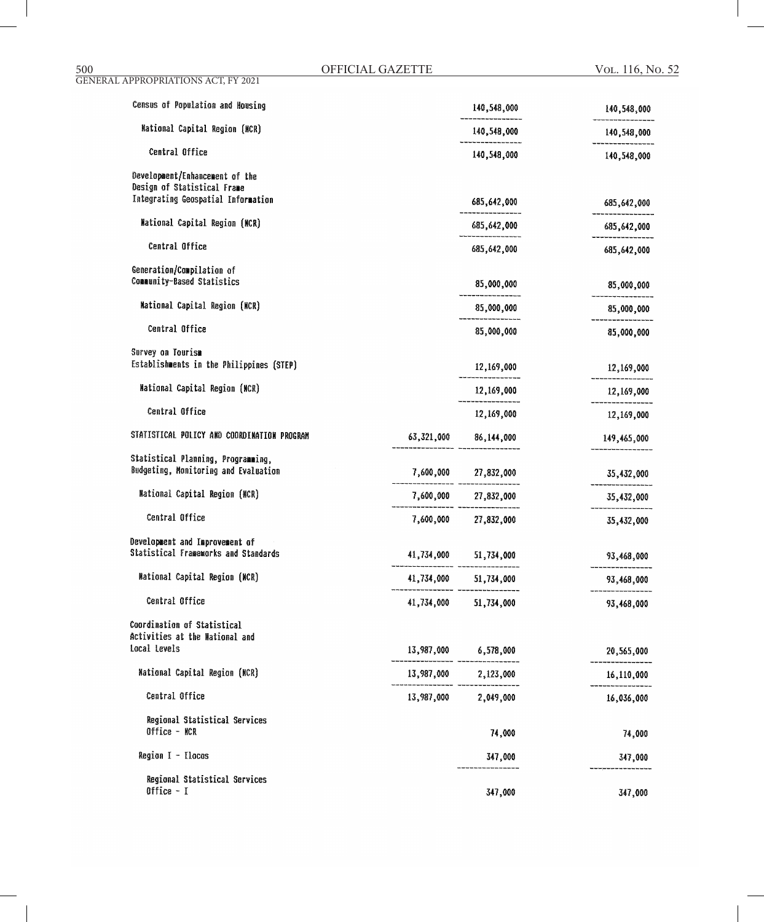| 500                                                           | OFFICIAL GAZETTE |                      | VOL. 116, No |
|---------------------------------------------------------------|------------------|----------------------|--------------|
| <b>GENERAL APPROPRIATIONS ACT, FY 2021</b>                    |                  |                      |              |
| Census of Population and Housing                              |                  | 140,548,000          | 140,548,000  |
| <b>Mational Capital Region (MCR)</b>                          |                  | 140,548,000          | 140,548,000  |
| Central Office                                                |                  | 140,548,000          | 140,548,000  |
| Development/Enhancement of the<br>Design of Statistical Frame |                  |                      |              |
| Integrating Geospatial Information                            |                  | 685,642,000          | 685,642,000  |
| National Capital Region (NCR)                                 |                  | 685,642,000          | 685,642,000  |
| Central Office                                                |                  | 685,642,000          | 685,642,000  |
| Generation/Compilation of                                     |                  |                      |              |
| Community-Based Statistics                                    |                  | 85,000,000           | 85,000,000   |
| <b>Mational Capital Region (NCR)</b>                          |                  | 85,000,000           | 85,000,000   |
| Central Office                                                |                  | 85,000,000           | 85,000,000   |
| Survey on Tourism                                             |                  |                      |              |
| Establishments in the Philippines (STEP)                      |                  | 12,169,000           | 12,169,000   |
| <b>Mational Capital Region (MCR)</b>                          |                  | 12,169,000           | 12,169,000   |
| Central Office                                                |                  | 12,169,000           | 12,169,000   |
| STATISTICAL POLICY AND COORDINATION PROGRAM                   | 63,321,000       | 86,144,000           | 149,465,000  |
| Statistical Planning, Programming,                            |                  |                      |              |
| Budgeting, Monitoring and Evaluation                          |                  | 7,600,000 27,832,000 | 35,432,000   |
| <b>Mational Capital Region (MCR)</b>                          |                  | 7,600,000 27,832,000 | 35,432,000   |
| Central Office                                                | 7,600,000        | 27,832,000           | 35,432,000   |
| Development and Improvement of                                |                  |                      |              |
| Statistical Frameworks and Standards                          | 41,734,000       | 51,734,000           | 93,468,000   |
| <b>Mational Capital Region (MCR)</b>                          | 41,734,000       | 51,734,000           | 93,468,000   |
| Central Office                                                | 41,734,000       | 51,734,000           | 93,468,000   |
| Coordination of Statistical                                   |                  |                      |              |
| Activities at the Mational and                                |                  |                      |              |
| Local Levels                                                  | 13,987,000       | 6,578,000            | 20,565,000   |
| <b>National Capital Region (NCR)</b>                          | 13,987,000       | 2,123,000            | 16,110,000   |
| Central Office                                                | 13,987,000       | 2,049,000            | 16,036,000   |
| Regional Statistical Services                                 |                  |                      |              |
| Office - NCR                                                  |                  | 74,000               | 74,000       |
| Region I - Ilocos                                             |                  | 347,000              | 347,000      |

Regional Statistical Services<br>Office - I

------

347,000

------------

347,000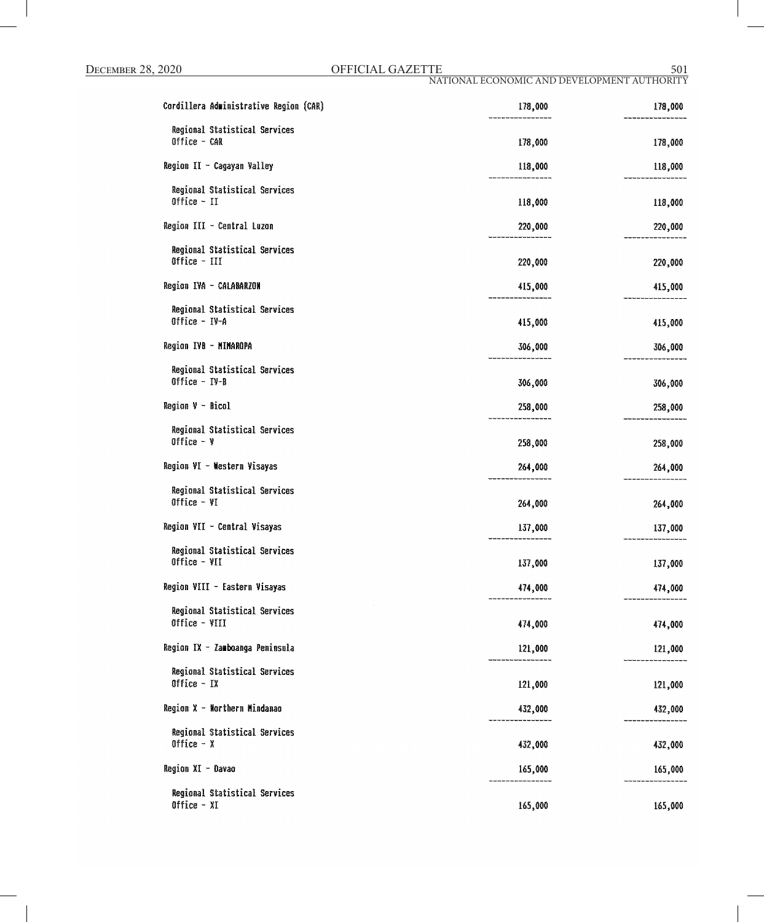NATIONAL ECONOMIC AND DEVELOPMENT AUTHORITYCordillera Administrative Region (CAR) 178,000 178,000 Regional Statistical Services Office - CAR 178,000 178,000 Region II - Cagayan Valley 118,000 118,000 **Regional Statistical Services** Office - II 118,000 118,000 Region III - Central Luzon 220,000 220,000 Regional Statistical Services Office - III 220,000 220,000 Region IVA - CALABARZON 415,000 415,000 Regional Statistical Services Office - IV-A 415,000 415,000 Region IVB - MIMAROPA 306,000 306,000 Regional Statistical Services Office  $IV-B$ 306,000 306,000 Region V - Bicol 258,000 258,000 Regional Statistical Services Office  $-$  Y 258,000 258,000 Region VI - Western Visayas 264,000 264,000 Regional Statistical Services Office  $-VI$ 264,000 264,000 Region VII - Central Visayas 137,000 137,000 Regional Statistical Services Office - VII 137,000 137,000 Region VIII - Eastern Visayas 474,000 474,000 Regional Statistical Services Office - VIII 474,000 474,000 Region IX - Zamboanga Peninsula 121,000 121,000

Regional Statistical Services Office  $-IX$ Region X - Northern Mindanao Regional Statistical Services Office  $- x$ Region XI - Davao

Regional Statistical Services Office - XI

165,000

121,000

432,000

432,000

165,000

121,000

432,000

432,000

165,000

165,000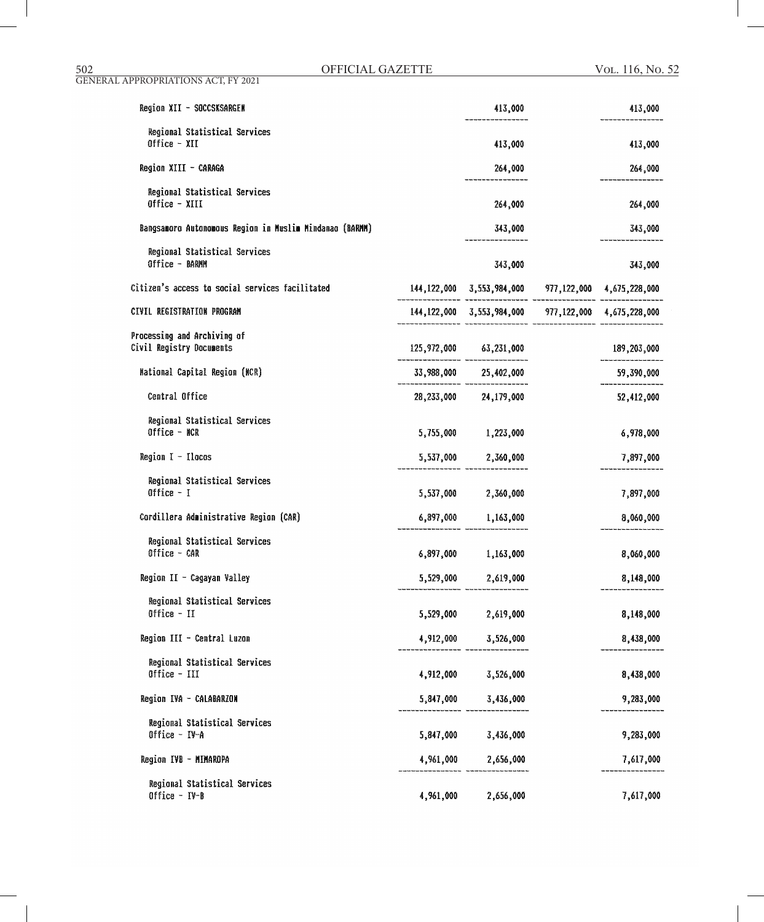| Region XII - SOCCSKSARGEN                               |           | 413,000                                                       | 413,000     |
|---------------------------------------------------------|-----------|---------------------------------------------------------------|-------------|
| Regional Statistical Services<br>Office - XII           |           | 413,000                                                       | 413,000     |
| Region XIII - CARAGA                                    |           | 264,000                                                       | 264,000     |
| Regional Statistical Services<br>Office - XIII          |           | 264,000                                                       | 264,000     |
| Bangsamoro Autonomous Region in Muslim Mindanao (BARMM) |           | 343,000                                                       | 343,000     |
| Regional Statistical Services<br>Office - BARNN         |           | 343,000                                                       | 343,000     |
| Citizen's access to social services facilitated         |           | 144,122,000 3,553,984,000 977,122,000 4,675,228,000           |             |
| CIVIL REGISTRATION PROGRAM                              |           | 144, 122, 000 3, 553, 984, 000 977, 122, 000 4, 675, 228, 000 |             |
| Processing and Archiving of<br>Civil Registry Documents |           | 125,972,000 63,231,000                                        | 189,203,000 |
| <b>Mational Capital Region (NCR)</b>                    |           | 33,988,000 25,402,000                                         | 59,390,000  |
| Central Office                                          |           | 28,233,000 24,179,000                                         | 52,412,000  |
| Regional Statistical Services<br>Office - NCR           |           | 5,755,000 1,223,000                                           | 6,978,000   |
| Region $I - I$ locos                                    |           | 5,537,000 2,360,000                                           | 7,897,000   |
| Regional Statistical Services<br>Office $-1$            |           | 5,537,000 2,360,000                                           | 7,897,000   |
| Cordillera Administrative Region (CAR)                  |           | 6,897,000 1,163,000                                           | 8,060,000   |
| Regional Statistical Services<br>Office - CAR           |           | 6,897,000 1,163,000                                           | 8,060,000   |
| Region II - Cagayan Valley                              |           | 5,529,000 2,619,000                                           | 8,148,000   |
| Regional Statistical Services<br>Office - II            |           | 5,529,000 2,619,000                                           | 8,148,000   |
| Region III - Central Luzon                              |           | 4,912,000 3,526,000                                           | 8,438,000   |
| Regional Statistical Services<br>Office - III           |           | 4,912,000 3,526,000                                           | 8,438,000   |
| Region IVA - CALABARZON                                 |           | 5,847,000 3,436,000                                           | 9,283,000   |
| Regional Statistical Services<br>Office - IV-A          | 5,847,000 | 3,436,000                                                     | 9,283,000   |
| Region IVB - MIMAROPA                                   |           | $4,961,000$ 2,656,000                                         | 7,617,000   |
| Regional Statistical Services<br>Office - IV-B          | 4,961,000 | 2,656,000                                                     | 7,617,000   |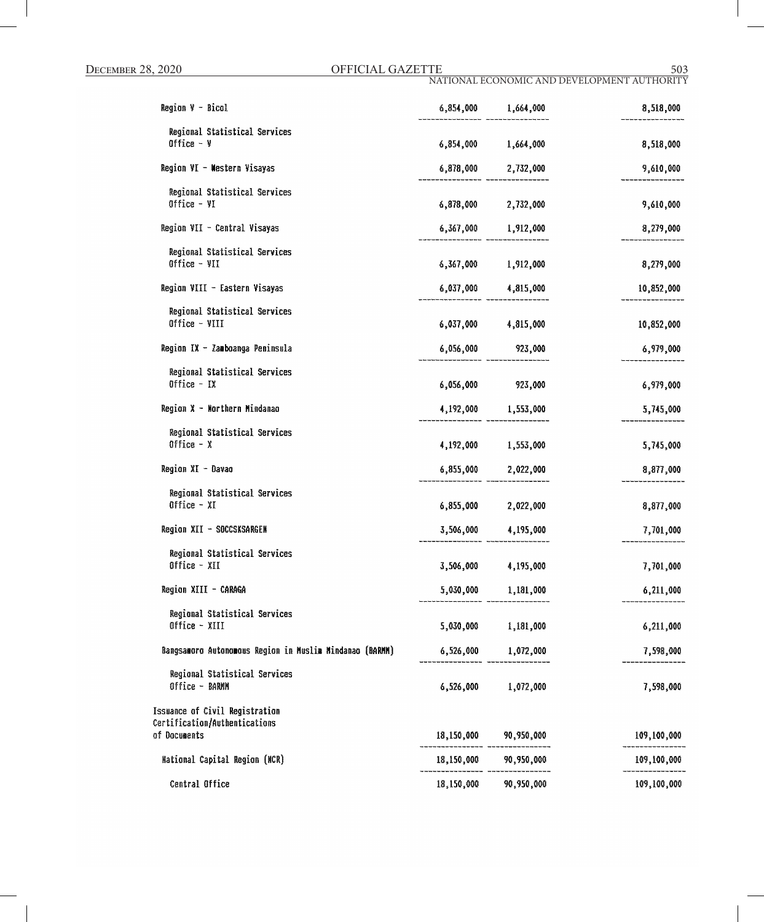| $Region$ $\theta$ - Bicol                                                       |            | $6,854,000$ 1,664,000   | 8,518,000   |
|---------------------------------------------------------------------------------|------------|-------------------------|-------------|
| Regional Statistical Services<br>Office $ \gamma$                               |            | 6,854,000 1,664,000     | 8,518,000   |
| Region VI - Mestern Visayas                                                     |            | 6,878,000 2,732,000     | 9,610,000   |
| Regional Statistical Services<br>Office - VI                                    |            | 6,878,000 2,732,000     | 9,610,000   |
| Region VII - Central Visayas                                                    |            | 6,367,000 1,912,000     | 8,279,000   |
| Regional Statistical Services<br>Office - VII                                   |            | 6,367,000 1,912,000     | 8,279,000   |
| Region VIII - Eastern Visayas                                                   |            | 6,037,000 4,815,000     | 10,852,000  |
| Regional Statistical Services<br>Office - VIII                                  |            | $6,037,000$ $4,815,000$ | 10,852,000  |
| Region IX - Zamboanga Peninsula                                                 |            | 6,056,000 923,000       | 6,979,000   |
| Regional Statistical Services<br>Office $-$ IX                                  |            | 6,056,000 923,000       | 6,979,000   |
| Region X - Northern Mindanao                                                    |            | 4,192,000 1,553,000     | 5,745,000   |
| Regional Statistical Services<br>Office $- x$                                   |            | 4,192,000 1,553,000     | 5,745,000   |
| Region XI - Davao                                                               |            | $6,855,000$ 2,022,000   | 8,877,000   |
| Regional Statistical Services<br>Office $- XI$                                  |            | 6,855,000 2,022,000     | 8,877,000   |
| Region XII - SOCCSKSARGEN                                                       |            | 3,506,000 4,195,000     | 7,701,000   |
| Regional Statistical Services<br>Office - XII                                   |            | 3,506,000 4,195,000     | 7,701,000   |
| Region XIII - CARAGA                                                            | 5,030,000  | 1,181,000               | 6,211,000   |
| Regional Statistical Services<br>Office - XIII                                  | 5,030,000  | 1,181,000               | 6,211,000   |
| Bangsamoro Autonomous Region in Muslim Mindanao (BARMM)                         | 6,526,000  | 1,072,000               | 7,598,000   |
| Regional Statistical Services<br>Office - BARMN                                 | 6,526,000  | 1,072,000               | 7,598,000   |
| Issuance of Civil Registration<br>Certification/Authentications<br>of Documents |            | 18,150,000 90,950,000   | 109,100,000 |
| <b>Mational Capital Region (MCR)</b>                                            |            | 18,150,000 90,950,000   | 109,100,000 |
| Central Office                                                                  | 18,150,000 | 90,950,000              | 109,100,000 |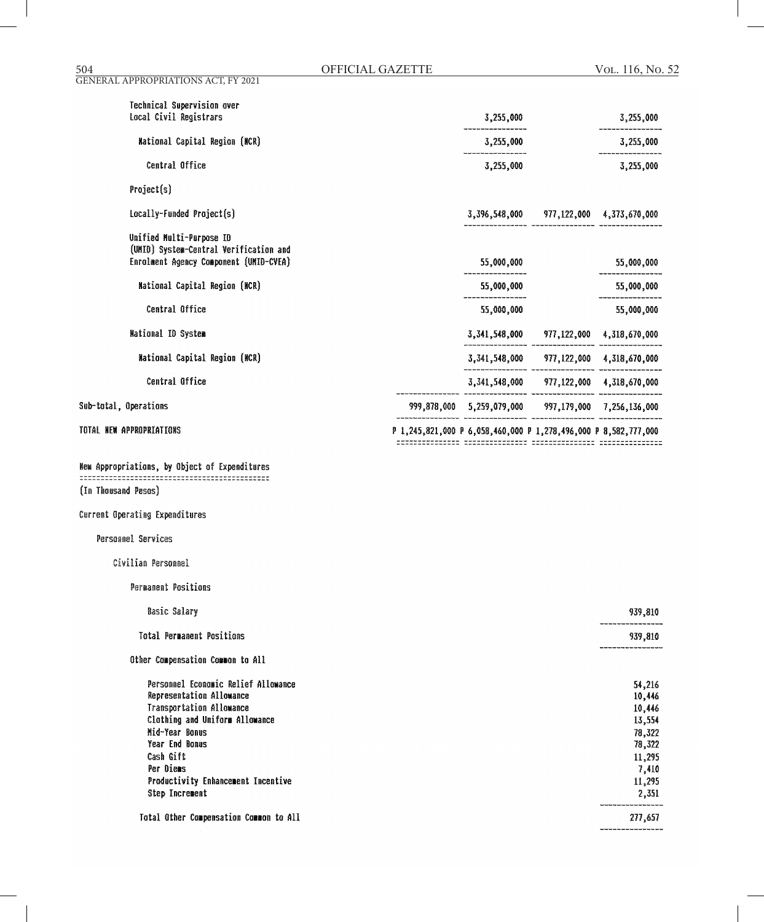| GENERAL APPROPRIATIONS ACT, FY 2021                                              |                                                                 |                  |
|----------------------------------------------------------------------------------|-----------------------------------------------------------------|------------------|
| Technical Supervision over<br>Local Civil Registrars                             | 3,255,000                                                       | 3,255,000        |
| <b>Mational Capital Region (MCR)</b>                                             | 3,255,000                                                       | 3,255,000        |
| Central Office                                                                   | 3,255,000                                                       | 3,255,000        |
| Project(s)                                                                       |                                                                 |                  |
| Locally-Funded Project(s)                                                        | 3,396,548,000 977,122,000 4,373,670,000                         |                  |
| Unified Multi-Purpase ID                                                         |                                                                 |                  |
| (UMID) System-Central Verification and<br>Enrolment Agency Component (UMID-CVEA) | 55,000,000                                                      | 55,000,000       |
| National Capital Region (NCR)                                                    | 55,000,000                                                      | 55,000,000       |
| Central Office                                                                   | 55,000,000                                                      | 55,000,000       |
| <b>Mational ID System</b>                                                        | 3,341,548,000 977,122,000 4,318,670,000                         |                  |
| <b>Mational Capital Region (MCR)</b>                                             | $3,341,548,000$ $977,122,000$ $4,318,670,000$                   |                  |
| Central Office                                                                   | 3,341,548,000 977,122,000 4,318,670,000                         |                  |
| Sub-total, Operations                                                            | 999,878,000 5,259,079,000 997,179,000 7,256,136,000             |                  |
| TOTAL NEW APPROPRIATIONS                                                         | P 1,245,821,000 P 6,058,460,000 P 1,278,496,000 P 8,582,777,000 |                  |
|                                                                                  |                                                                 |                  |
| New Appropriations, by Object of Expenditures                                    |                                                                 |                  |
| (In Thousand Pesos)                                                              |                                                                 |                  |
| Current Operating Expenditures                                                   |                                                                 |                  |
| <b>Personnel Services</b>                                                        |                                                                 |                  |
| Civilian Personnel                                                               |                                                                 |                  |
| <b>Permanent Positions</b>                                                       |                                                                 |                  |
| <b>Basic Salary</b>                                                              |                                                                 | 939,810          |
| <b>Total Permanent Positions</b>                                                 |                                                                 | 939,810          |
| Other Compensation Common to All                                                 |                                                                 |                  |
| Personnel Economic Relief Allowance                                              |                                                                 | 54,216           |
| Representation Allowance                                                         |                                                                 | 10,446           |
| Transportation Allowance<br>Clothing and Uniform Allowance                       |                                                                 | 10,446<br>13,554 |
| Mid-Year Bonus                                                                   |                                                                 | 78,322           |
| Year End Bonus                                                                   |                                                                 | 78,322           |
| Cash Gift                                                                        |                                                                 | 11,295           |
| Per Diems                                                                        |                                                                 | 7,410            |

Total Other Compensation Common to All

Productivity Enhancement Incentive

Step Increment

--------- $277,\!657$ ---------------

11,295

2,351